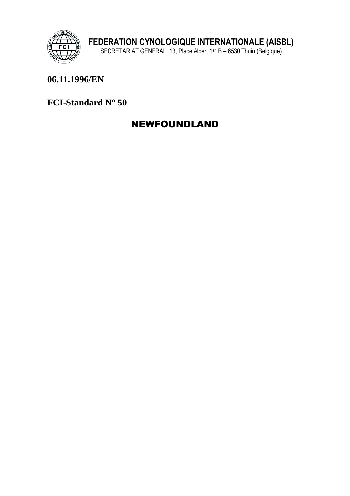

## 06.11.1996/EN

FCI-Standard N° 50

# **NEWFOUNDLAND**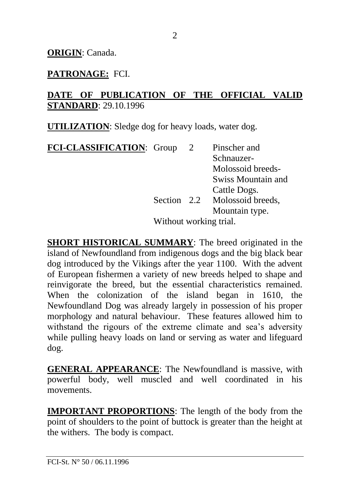## **PATRONAGE:** FCI.

### **DATE OF PUBLICATION OF THE OFFICIAL VALID STANDARD**: 29.10.1996

**UTILIZATION**: Sledge dog for heavy loads, water dog.

**FCI-CLASSIFICATION**: Group 2 Pinscher and Schnauzer-Molossoid breeds-Swiss Mountain and Cattle Dogs. Section 2.2 Molossoid breeds. Mountain type. Without working trial.

**SHORT HISTORICAL SUMMARY**: The breed originated in the island of Newfoundland from indigenous dogs and the big black bear dog introduced by the Vikings after the year 1100. With the advent of European fishermen a variety of new breeds helped to shape and reinvigorate the breed, but the essential characteristics remained. When the colonization of the island began in 1610, the Newfoundland Dog was already largely in possession of his proper morphology and natural behaviour. These features allowed him to withstand the rigours of the extreme climate and sea's adversity while pulling heavy loads on land or serving as water and lifeguard dog.

**GENERAL APPEARANCE**: The Newfoundland is massive, with powerful body, well muscled and well coordinated in his movements.

**IMPORTANT PROPORTIONS**: The length of the body from the point of shoulders to the point of buttock is greater than the height at the withers. The body is compact.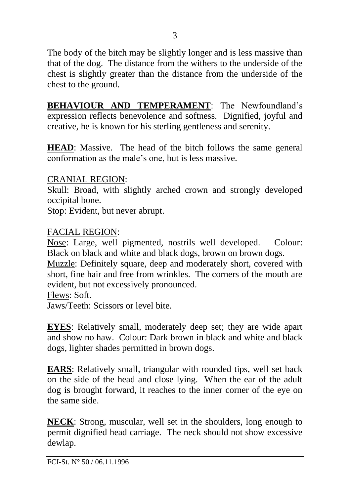The body of the bitch may be slightly longer and is less massive than that of the dog. The distance from the withers to the underside of the chest is slightly greater than the distance from the underside of the chest to the ground.

**BEHAVIOUR AND TEMPERAMENT**: The Newfoundland's expression reflects benevolence and softness. Dignified, joyful and creative, he is known for his sterling gentleness and serenity.

**HEAD**: Massive. The head of the bitch follows the same general conformation as the male's one, but is less massive.

#### CRANIAL REGION:

Skull: Broad, with slightly arched crown and strongly developed occipital bone.

Stop: Evident, but never abrupt.

#### FACIAL REGION:

Nose: Large, well pigmented, nostrils well developed. Colour: Black on black and white and black dogs, brown on brown dogs.

Muzzle: Definitely square, deep and moderately short, covered with short, fine hair and free from wrinkles. The corners of the mouth are evident, but not excessively pronounced.

Flews: Soft.

Jaws/Teeth: Scissors or level bite.

**EYES**: Relatively small, moderately deep set; they are wide apart and show no haw. Colour: Dark brown in black and white and black dogs, lighter shades permitted in brown dogs.

**EARS**: Relatively small, triangular with rounded tips, well set back on the side of the head and close lying. When the ear of the adult dog is brought forward, it reaches to the inner corner of the eye on the same side.

**NECK**: Strong, muscular, well set in the shoulders, long enough to permit dignified head carriage. The neck should not show excessive dewlap.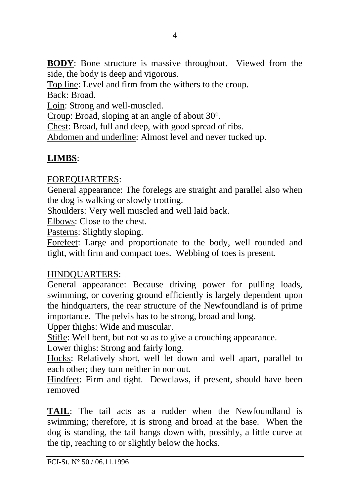**BODY**: Bone structure is massive throughout. Viewed from the side, the body is deep and vigorous.

Top line: Level and firm from the withers to the croup.

Back: Broad.

Loin: Strong and well-muscled.

Croup: Broad, sloping at an angle of about 30°.

Chest: Broad, full and deep, with good spread of ribs.

Abdomen and underline: Almost level and never tucked up.

## **LIMBS**:

#### FOREQUARTERS:

General appearance: The forelegs are straight and parallel also when the dog is walking or slowly trotting.

Shoulders: Very well muscled and well laid back.

Elbows: Close to the chest.

Pasterns: Slightly sloping.

Forefeet: Large and proportionate to the body, well rounded and tight, with firm and compact toes. Webbing of toes is present.

#### HINDQUARTERS:

General appearance: Because driving power for pulling loads, swimming, or covering ground efficiently is largely dependent upon the hindquarters, the rear structure of the Newfoundland is of prime importance. The pelvis has to be strong, broad and long.

Upper thighs: Wide and muscular.

Stifle: Well bent, but not so as to give a crouching appearance.

Lower thighs: Strong and fairly long.

Hocks: Relatively short, well let down and well apart, parallel to each other; they turn neither in nor out.

Hindfeet: Firm and tight. Dewclaws, if present, should have been removed

**TAIL**: The tail acts as a rudder when the Newfoundland is swimming; therefore, it is strong and broad at the base. When the dog is standing, the tail hangs down with, possibly, a little curve at the tip, reaching to or slightly below the hocks.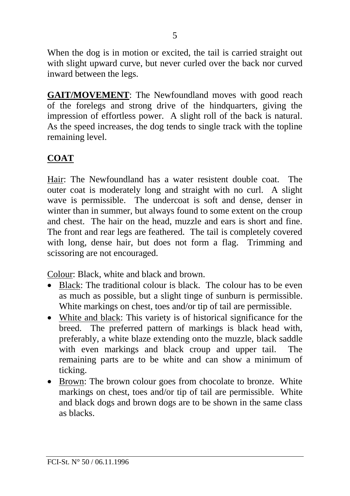When the dog is in motion or excited, the tail is carried straight out with slight upward curve, but never curled over the back nor curved inward between the legs.

**GAIT/MOVEMENT**: The Newfoundland moves with good reach of the forelegs and strong drive of the hindquarters, giving the impression of effortless power. A slight roll of the back is natural. As the speed increases, the dog tends to single track with the topline remaining level.

### **COAT**

Hair: The Newfoundland has a water resistent double coat. The outer coat is moderately long and straight with no curl. A slight wave is permissible. The undercoat is soft and dense, denser in winter than in summer, but always found to some extent on the croup and chest. The hair on the head, muzzle and ears is short and fine. The front and rear legs are feathered. The tail is completely covered with long, dense hair, but does not form a flag. Trimming and scissoring are not encouraged.

Colour: Black, white and black and brown.

- Black: The traditional colour is black. The colour has to be even as much as possible, but a slight tinge of sunburn is permissible. White markings on chest, toes and/or tip of tail are permissible.
- White and black: This variety is of historical significance for the breed. The preferred pattern of markings is black head with, preferably, a white blaze extending onto the muzzle, black saddle with even markings and black croup and upper tail. The remaining parts are to be white and can show a minimum of ticking.
- Brown: The brown colour goes from chocolate to bronze. White markings on chest, toes and/or tip of tail are permissible. White and black dogs and brown dogs are to be shown in the same class as blacks.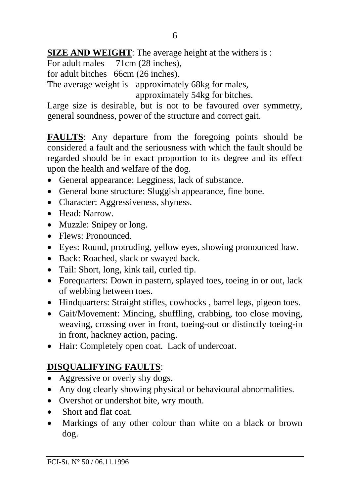### **SIZE AND WEIGHT:** The average height at the withers is :

For adult males 71cm (28 inches),

for adult bitches 66cm (26 inches).

The average weight is approximately 68kg for males,

approximately 54kg for bitches.

Large size is desirable, but is not to be favoured over symmetry, general soundness, power of the structure and correct gait.

**FAULTS**: Any departure from the foregoing points should be considered a fault and the seriousness with which the fault should be regarded should be in exact proportion to its degree and its effect upon the health and welfare of the dog.

- General appearance: Legginess, lack of substance.
- General bone structure: Sluggish appearance, fine bone.
- Character: Aggressiveness, shyness.
- Head: Narrow.
- Muzzle: Snipey or long.
- Flews: Pronounced
- Eyes: Round, protruding, yellow eyes, showing pronounced haw.
- Back: Roached, slack or swaved back.
- Tail: Short, long, kink tail, curled tip.
- Forequarters: Down in pastern, splayed toes, toeing in or out, lack of webbing between toes.
- Hindquarters: Straight stifles, cowhocks, barrel legs, pigeon toes.
- Gait/Movement: Mincing, shuffling, crabbing, too close moving, weaving, crossing over in front, toeing-out or distinctly toeing-in in front, hackney action, pacing.
- Hair: Completely open coat. Lack of undercoat.

# **DISQUALIFYING FAULTS**:

- Aggressive or overly shy dogs.
- Any dog clearly showing physical or behavioural abnormalities.
- Overshot or undershot bite, wry mouth.
- Short and flat coat.
- Markings of any other colour than white on a black or brown dog.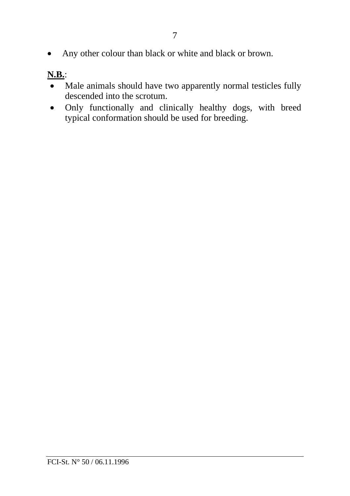• Any other colour than black or white and black or brown.

# **N.B.**:

- Male animals should have two apparently normal testicles fully descended into the scrotum.
- Only functionally and clinically healthy dogs, with breed typical conformation should be used for breeding.